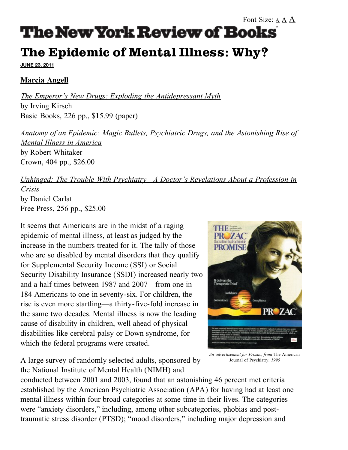## Font Size:  $\underline{A} \underline{A} \underline{A}$  $\underline{A} \underline{A} \underline{A}$  $\underline{A} \underline{A} \underline{A}$ **The New York Review of Books** The Epidemic of Mental Illness: Why?

**[JUNE 23, 2011](http://www.nybooks.com/issues/2011/jun/23/)**

## **[Marcia Angell](http://www.nybooks.com/contributors/marcia-angell/)**

*[The Emperor's New Drugs: Exploding the Antidepressant Myth](http://www.amazon.com/gp/product/0465022006?ie=UTF8&tag=thneyoreofbo-20&linkCode=as2&camp=1789&creative=9325&creativeASIN=0465022006)* by Irving Kirsch Basic Books, 226 pp., \$15.99 (paper)

*[Anatomy of an Epidemic: Magic Bullets, Psychiatric Drugs, and the Astonishing Rise of](http://www.amazon.com/gp/product/0307452417?ie=UTF8&tag=thneyoreofbo-20&linkCode=as2&camp=1789&creative=9325&creativeASIN=0307452417) Mental Illness in America* by Robert Whitaker Crown, 404 pp., \$26.00

## *[Unhinged: The Trouble With Psychiatry—A Doctor's Revelations About a Profession in](http://www.amazon.com/gp/product/141659079X?ie=UTF8&tag=thneyoreofbo-20&linkCode=as2&camp=1789&creative=9325&creativeASIN=141659079X) Crisis*

by Daniel Carlat Free Press, 256 pp., \$25.00

It seems that Americans are in the midst of a raging epidemic of mental illness, at least as judged by the increase in the numbers treated for it. The tally of those who are so disabled by mental disorders that they qualify for Supplemental Security Income (SSI) or Social Security Disability Insurance (SSDI) increased nearly two and a half times between 1987 and 2007—from one in 184 Americans to one in seventy-six. For children, the rise is even more startling—a thirty-five-fold increase in the same two decades. Mental illness is now the leading cause of disability in children, well ahead of physical disabilities like cerebral palsy or Down syndrome, for which the federal programs were created.



A large survey of randomly selected adults, sponsored by the National Institute of Mental Health (NIMH) and

conducted between 2001 and 2003, found that an astonishing 46 percent met criteria established by the American Psychiatric Association (APA) for having had at least one mental illness within four broad categories at some time in their lives. The categories were "anxiety disorders," including, among other subcategories, phobias and posttraumatic stress disorder (PTSD); "mood disorders," including major depression and

*An advertisement for Prozac, from* The American Journal of Psychiatry*, 1995*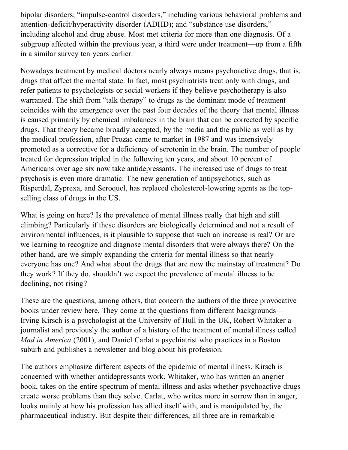bipolar disorders; "impulse-control disorders," including various behavioral problems and attention-deficit/hyperactivity disorder (ADHD); and "substance use disorders," including alcohol and drug abuse. Most met criteria for more than one diagnosis. Of a subgroup affected within the previous year, a third were under treatment—up from a fifth in a similar survey ten years earlier.

Nowadays treatment by medical doctors nearly always means psychoactive drugs, that is, drugs that affect the mental state. In fact, most psychiatrists treat only with drugs, and refer patients to psychologists or social workers if they believe psychotherapy is also warranted. The shift from "talk therapy" to drugs as the dominant mode of treatment coincides with the emergence over the past four decades of the theory that mental illness is caused primarily by chemical imbalances in the brain that can be corrected by specific drugs. That theory became broadly accepted, by the media and the public as well as by the medical profession, after Prozac came to market in 1987 and was intensively promoted as a corrective for a deficiency of serotonin in the brain. The number of people treated for depression tripled in the following ten years, and about 10 percent of Americans over age six now take antidepressants. The increased use of drugs to treat psychosis is even more dramatic. The new generation of antipsychotics, such as Risperdal, Zyprexa, and Seroquel, has replaced cholesterol-lowering agents as the topselling class of drugs in the US.

What is going on here? Is the prevalence of mental illness really that high and still climbing? Particularly if these disorders are biologically determined and not a result of environmental influences, is it plausible to suppose that such an increase is real? Or are we learning to recognize and diagnose mental disorders that were always there? On the other hand, are we simply expanding the criteria for mental illness so that nearly everyone has one? And what about the drugs that are now the mainstay of treatment? Do they work? If they do, shouldn't we expect the prevalence of mental illness to be declining, not rising?

These are the questions, among others, that concern the authors of the three provocative books under review here. They come at the questions from different backgrounds— Irving Kirsch is a psychologist at the University of Hull in the UK, Robert Whitaker a journalist and previously the author of a history of the treatment of mental illness called *Mad in America* (2001), and Daniel Carlat a psychiatrist who practices in a Boston suburb and publishes a newsletter and blog about his profession.

The authors emphasize different aspects of the epidemic of mental illness. Kirsch is concerned with whether antidepressants work. Whitaker, who has written an angrier book, takes on the entire spectrum of mental illness and asks whether psychoactive drugs create worse problems than they solve. Carlat, who writes more in sorrow than in anger, looks mainly at how his profession has allied itself with, and is manipulated by, the pharmaceutical industry. But despite their differences, all three are in remarkable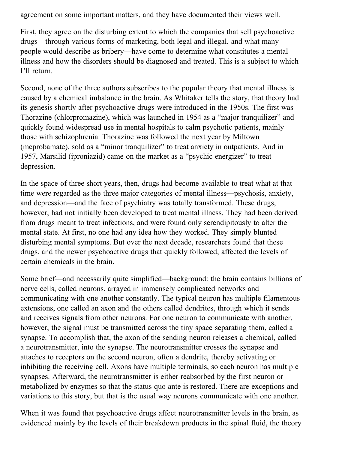agreement on some important matters, and they have documented their views well.

First, they agree on the disturbing extent to which the companies that sell psychoactive drugs—through various forms of marketing, both legal and illegal, and what many people would describe as bribery—have come to determine what constitutes a mental illness and how the disorders should be diagnosed and treated. This is a subject to which I'll return.

Second, none of the three authors subscribes to the popular theory that mental illness is caused by a chemical imbalance in the brain. As Whitaker tells the story, that theory had its genesis shortly after psychoactive drugs were introduced in the 1950s. The first was Thorazine (chlorpromazine), which was launched in 1954 as a "major tranquilizer" and quickly found widespread use in mental hospitals to calm psychotic patients, mainly those with schizophrenia. Thorazine was followed the next year by Miltown (meprobamate), sold as a "minor tranquilizer" to treat anxiety in outpatients. And in 1957, Marsilid (iproniazid) came on the market as a "psychic energizer" to treat depression.

In the space of three short years, then, drugs had become available to treat what at that time were regarded as the three major categories of mental illness—psychosis, anxiety, and depression—and the face of psychiatry was totally transformed. These drugs, however, had not initially been developed to treat mental illness. They had been derived from drugs meant to treat infections, and were found only serendipitously to alter the mental state. At first, no one had any idea how they worked. They simply blunted disturbing mental symptoms. But over the next decade, researchers found that these drugs, and the newer psychoactive drugs that quickly followed, affected the levels of certain chemicals in the brain.

Some brief—and necessarily quite simplified—background: the brain contains billions of nerve cells, called neurons, arrayed in immensely complicated networks and communicating with one another constantly. The typical neuron has multiple filamentous extensions, one called an axon and the others called dendrites, through which it sends and receives signals from other neurons. For one neuron to communicate with another, however, the signal must be transmitted across the tiny space separating them, called a synapse. To accomplish that, the axon of the sending neuron releases a chemical, called a neurotransmitter, into the synapse. The neurotransmitter crosses the synapse and attaches to receptors on the second neuron, often a dendrite, thereby activating or inhibiting the receiving cell. Axons have multiple terminals, so each neuron has multiple synapses. Afterward, the neurotransmitter is either reabsorbed by the first neuron or metabolized by enzymes so that the status quo ante is restored. There are exceptions and variations to this story, but that is the usual way neurons communicate with one another.

When it was found that psychoactive drugs affect neurotransmitter levels in the brain, as evidenced mainly by the levels of their breakdown products in the spinal fluid, the theory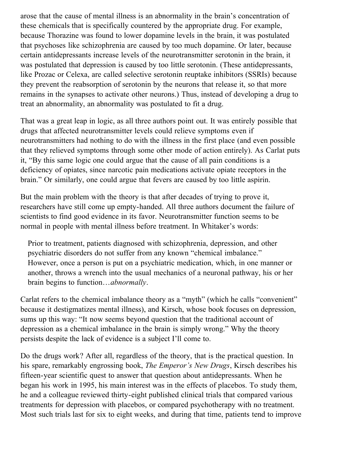arose that the cause of mental illness is an abnormality in the brain's concentration of these chemicals that is specifically countered by the appropriate drug. For example, because Thorazine was found to lower dopamine levels in the brain, it was postulated that psychoses like schizophrenia are caused by too much dopamine. Or later, because certain antidepressants increase levels of the neurotransmitter serotonin in the brain, it was postulated that depression is caused by too little serotonin. (These antidepressants, like Prozac or Celexa, are called selective serotonin reuptake inhibitors (SSRIs) because they prevent the reabsorption of serotonin by the neurons that release it, so that more remains in the synapses to activate other neurons.) Thus, instead of developing a drug to treat an abnormality, an abnormality was postulated to fit a drug.

That was a great leap in logic, as all three authors point out. It was entirely possible that drugs that affected neurotransmitter levels could relieve symptoms even if neurotransmitters had nothing to do with the illness in the first place (and even possible that they relieved symptoms through some other mode of action entirely). As Carlat puts it, "By this same logic one could argue that the cause of all pain conditions is a deficiency of opiates, since narcotic pain medications activate opiate receptors in the brain." Or similarly, one could argue that fevers are caused by too little aspirin.

But the main problem with the theory is that after decades of trying to prove it, researchers have still come up empty-handed. All three authors document the failure of scientists to find good evidence in its favor. Neurotransmitter function seems to be normal in people with mental illness before treatment. In Whitaker's words:

Prior to treatment, patients diagnosed with schizophrenia, depression, and other psychiatric disorders do not suffer from any known "chemical imbalance." However, once a person is put on a psychiatric medication, which, in one manner or another, throws a wrench into the usual mechanics of a neuronal pathway, his or her brain begins to function…*abnormally*.

Carlat refers to the chemical imbalance theory as a "myth" (which he calls "convenient" because it destigmatizes mental illness), and Kirsch, whose book focuses on depression, sums up this way: "It now seems beyond question that the traditional account of depression as a chemical imbalance in the brain is simply wrong." Why the theory persists despite the lack of evidence is a subject I'll come to.

Do the drugs work? After all, regardless of the theory, that is the practical question. In his spare, remarkably engrossing book, *The Emperor's New Drugs*, Kirsch describes his fifteen-year scientific quest to answer that question about antidepressants. When he began his work in 1995, his main interest was in the effects of placebos. To study them, he and a colleague reviewed thirty-eight published clinical trials that compared various treatments for depression with placebos, or compared psychotherapy with no treatment. Most such trials last for six to eight weeks, and during that time, patients tend to improve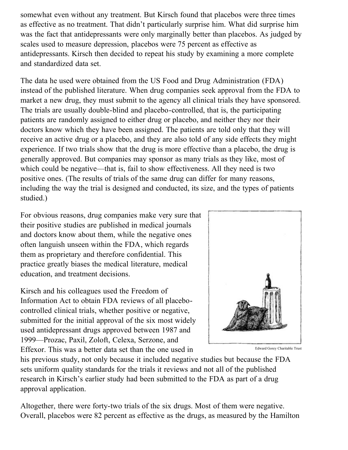somewhat even without any treatment. But Kirsch found that placebos were three times as effective as no treatment. That didn't particularly surprise him. What did surprise him was the fact that antidepressants were only marginally better than placebos. As judged by scales used to measure depression, placebos were 75 percent as effective as antidepressants. Kirsch then decided to repeat his study by examining a more complete and standardized data set.

The data he used were obtained from the US Food and Drug Administration (FDA) instead of the published literature. When drug companies seek approval from the FDA to market a new drug, they must submit to the agency all clinical trials they have sponsored. The trials are usually double-blind and placebo-controlled, that is, the participating patients are randomly assigned to either drug or placebo, and neither they nor their doctors know which they have been assigned. The patients are told only that they will receive an active drug or a placebo, and they are also told of any side effects they might experience. If two trials show that the drug is more effective than a placebo, the drug is generally approved. But companies may sponsor as many trials as they like, most of which could be negative—that is, fail to show effectiveness. All they need is two positive ones. (The results of trials of the same drug can differ for many reasons, including the way the trial is designed and conducted, its size, and the types of patients studied.)

For obvious reasons, drug companies make very sure that their positive studies are published in medical journals and doctors know about them, while the negative ones often languish unseen within the FDA, which regards them as proprietary and therefore confidential. This practice greatly biases the medical literature, medical education, and treatment decisions.

Kirsch and his colleagues used the Freedom of Information Act to obtain FDA reviews of all placebocontrolled clinical trials, whether positive or negative, submitted for the initial approval of the six most widely used antidepressant drugs approved between 1987 and 1999—Prozac, Paxil, Zoloft, Celexa, Serzone, and Effexor. This was a better data set than the one used in



Edward Gorey Charitable Trust

his previous study, not only because it included negative studies but because the FDA sets uniform quality standards for the trials it reviews and not all of the published research in Kirsch's earlier study had been submitted to the FDA as part of a drug approval application.

Altogether, there were forty-two trials of the six drugs. Most of them were negative. Overall, placebos were 82 percent as effective as the drugs, as measured by the Hamilton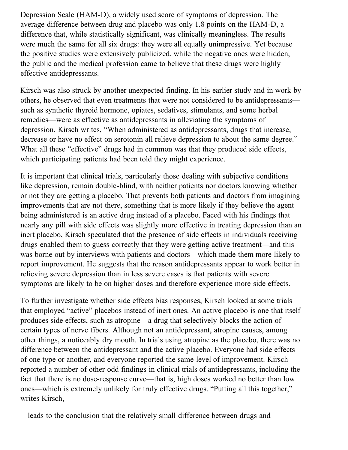Depression Scale (HAM-D), a widely used score of symptoms of depression. The average difference between drug and placebo was only 1.8 points on the HAM-D, a difference that, while statistically significant, was clinically meaningless. The results were much the same for all six drugs: they were all equally unimpressive. Yet because the positive studies were extensively publicized, while the negative ones were hidden, the public and the medical profession came to believe that these drugs were highly effective antidepressants.

Kirsch was also struck by another unexpected finding. In his earlier study and in work by others, he observed that even treatments that were not considered to be antidepressants such as synthetic thyroid hormone, opiates, sedatives, stimulants, and some herbal remedies—were as effective as antidepressants in alleviating the symptoms of depression. Kirsch writes, "When administered as antidepressants, drugs that increase, decrease or have no effect on serotonin all relieve depression to about the same degree." What all these "effective" drugs had in common was that they produced side effects, which participating patients had been told they might experience.

It is important that clinical trials, particularly those dealing with subjective conditions like depression, remain double-blind, with neither patients nor doctors knowing whether or not they are getting a placebo. That prevents both patients and doctors from imagining improvements that are not there, something that is more likely if they believe the agent being administered is an active drug instead of a placebo. Faced with his findings that nearly any pill with side effects was slightly more effective in treating depression than an inert placebo, Kirsch speculated that the presence of side effects in individuals receiving drugs enabled them to guess correctly that they were getting active treatment—and this was borne out by interviews with patients and doctors—which made them more likely to report improvement. He suggests that the reason antidepressants appear to work better in relieving severe depression than in less severe cases is that patients with severe symptoms are likely to be on higher doses and therefore experience more side effects.

To further investigate whether side effects bias responses, Kirsch looked at some trials that employed "active" placebos instead of inert ones. An active placebo is one that itself produces side effects, such as atropine—a drug that selectively blocks the action of certain types of nerve fibers. Although not an antidepressant, atropine causes, among other things, a noticeably dry mouth. In trials using atropine as the placebo, there was no difference between the antidepressant and the active placebo. Everyone had side effects of one type or another, and everyone reported the same level of improvement. Kirsch reported a number of other odd findings in clinical trials of antidepressants, including the fact that there is no dose-response curve—that is, high doses worked no better than low ones—which is extremely unlikely for truly effective drugs. "Putting all this together," writes Kirsch,

leads to the conclusion that the relatively small difference between drugs and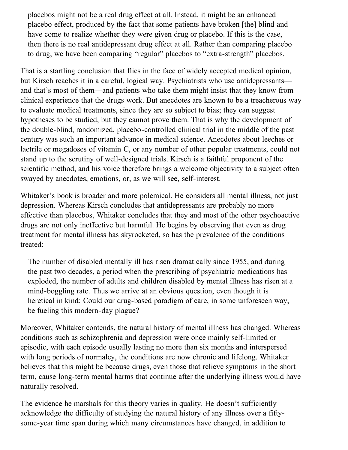placebos might not be a real drug effect at all. Instead, it might be an enhanced placebo effect, produced by the fact that some patients have broken [the] blind and have come to realize whether they were given drug or placebo. If this is the case, then there is no real antidepressant drug effect at all. Rather than comparing placebo to drug, we have been comparing "regular" placebos to "extra-strength" placebos.

That is a startling conclusion that flies in the face of widely accepted medical opinion, but Kirsch reaches it in a careful, logical way. Psychiatrists who use antidepressants and that's most of them—and patients who take them might insist that they know from clinical experience that the drugs work. But anecdotes are known to be a treacherous way to evaluate medical treatments, since they are so subject to bias; they can suggest hypotheses to be studied, but they cannot prove them. That is why the development of the double-blind, randomized, placebo-controlled clinical trial in the middle of the past century was such an important advance in medical science. Anecdotes about leeches or laetrile or megadoses of vitamin C, or any number of other popular treatments, could not stand up to the scrutiny of well-designed trials. Kirsch is a faithful proponent of the scientific method, and his voice therefore brings a welcome objectivity to a subject often swayed by anecdotes, emotions, or, as we will see, self-interest.

Whitaker's book is broader and more polemical. He considers all mental illness, not just depression. Whereas Kirsch concludes that antidepressants are probably no more effective than placebos, Whitaker concludes that they and most of the other psychoactive drugs are not only ineffective but harmful. He begins by observing that even as drug treatment for mental illness has skyrocketed, so has the prevalence of the conditions treated:

The number of disabled mentally ill has risen dramatically since 1955, and during the past two decades, a period when the prescribing of psychiatric medications has exploded, the number of adults and children disabled by mental illness has risen at a mind-boggling rate. Thus we arrive at an obvious question, even though it is heretical in kind: Could our drug-based paradigm of care, in some unforeseen way, be fueling this modern-day plague?

Moreover, Whitaker contends, the natural history of mental illness has changed. Whereas conditions such as schizophrenia and depression were once mainly self-limited or episodic, with each episode usually lasting no more than six months and interspersed with long periods of normalcy, the conditions are now chronic and lifelong. Whitaker believes that this might be because drugs, even those that relieve symptoms in the short term, cause long-term mental harms that continue after the underlying illness would have naturally resolved.

The evidence he marshals for this theory varies in quality. He doesn't sufficiently acknowledge the difficulty of studying the natural history of any illness over a fiftysome-year time span during which many circumstances have changed, in addition to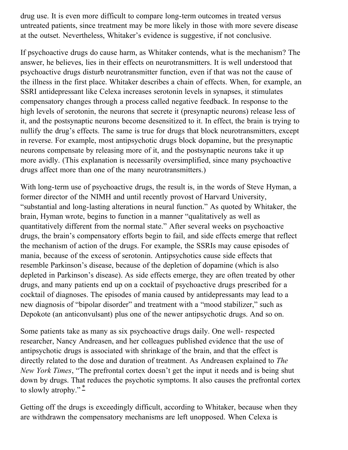drug use. It is even more difficult to compare long-term outcomes in treated versus untreated patients, since treatment may be more likely in those with more severe disease at the outset. Nevertheless, Whitaker's evidence is suggestive, if not conclusive.

If psychoactive drugs do cause harm, as Whitaker contends, what is the mechanism? The answer, he believes, lies in their effects on neurotransmitters. It is well understood that psychoactive drugs disturb neurotransmitter function, even if that was not the cause of the illness in the first place. Whitaker describes a chain of effects. When, for example, an SSRI antidepressant like Celexa increases serotonin levels in synapses, it stimulates compensatory changes through a process called negative feedback. In response to the high levels of serotonin, the neurons that secrete it (presynaptic neurons) release less of it, and the postsynaptic neurons become desensitized to it. In effect, the brain is trying to nullify the drug's effects. The same is true for drugs that block neurotransmitters, except in reverse. For example, most antipsychotic drugs block dopamine, but the presynaptic neurons compensate by releasing more of it, and the postsynaptic neurons take it up more avidly. (This explanation is necessarily oversimplified, since many psychoactive drugs affect more than one of the many neurotransmitters.)

With long-term use of psychoactive drugs, the result is, in the words of Steve Hyman, a former director of the NIMH and until recently provost of Harvard University, "substantial and long-lasting alterations in neural function." As quoted by Whitaker, the brain, Hyman wrote, begins to function in a manner "qualitatively as well as quantitatively different from the normal state." After several weeks on psychoactive drugs, the brain's compensatory efforts begin to fail, and side effects emerge that reflect the mechanism of action of the drugs. For example, the SSRIs may cause episodes of mania, because of the excess of serotonin. Antipsychotics cause side effects that resemble Parkinson's disease, because of the depletion of dopamine (which is also depleted in Parkinson's disease). As side effects emerge, they are often treated by other drugs, and many patients end up on a cocktail of psychoactive drugs prescribed for a cocktail of diagnoses. The episodes of mania caused by antidepressants may lead to a new diagnosis of "bipolar disorder" and treatment with a "mood stabilizer," such as Depokote (an anticonvulsant) plus one of the newer antipsychotic drugs. And so on.

Some patients take as many as six psychoactive drugs daily. One well- respected researcher, Nancy Andreasen, and her colleagues published evidence that the use of antipsychotic drugs is associated with shrinkage of the brain, and that the effect is directly related to the dose and duration of treatment. As Andreasen explained to *The New York Times*, "The prefrontal cortex doesn't get the input it needs and is being shut down by drugs. That reduces the psychotic symptoms. It also causes the prefrontal cortex to slowly atrophy." $+$ 

Getting off the drugs is exceedingly difficult, according to Whitaker, because when they are withdrawn the compensatory mechanisms are left unopposed. When Celexa is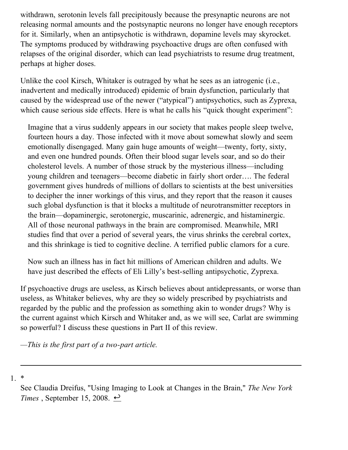withdrawn, serotonin levels fall precipitously because the presynaptic neurons are not releasing normal amounts and the postsynaptic neurons no longer have enough receptors for it. Similarly, when an antipsychotic is withdrawn, dopamine levels may skyrocket. The symptoms produced by withdrawing psychoactive drugs are often confused with relapses of the original disorder, which can lead psychiatrists to resume drug treatment, perhaps at higher doses.

Unlike the cool Kirsch, Whitaker is outraged by what he sees as an iatrogenic (i.e., inadvertent and medically introduced) epidemic of brain dysfunction, particularly that caused by the widespread use of the newer ("atypical") antipsychotics, such as Zyprexa, which cause serious side effects. Here is what he calls his "quick thought experiment":

Imagine that a virus suddenly appears in our society that makes people sleep twelve, fourteen hours a day. Those infected with it move about somewhat slowly and seem emotionally disengaged. Many gain huge amounts of weight—twenty, forty, sixty, and even one hundred pounds. Often their blood sugar levels soar, and so do their cholesterol levels. A number of those struck by the mysterious illness—including young children and teenagers—become diabetic in fairly short order…. The federal government gives hundreds of millions of dollars to scientists at the best universities to decipher the inner workings of this virus, and they report that the reason it causes such global dysfunction is that it blocks a multitude of neurotransmitter receptors in the brain—dopaminergic, serotonergic, muscarinic, adrenergic, and histaminergic. All of those neuronal pathways in the brain are compromised. Meanwhile, MRI studies find that over a period of several years, the virus shrinks the cerebral cortex, and this shrinkage is tied to cognitive decline. A terrified public clamors for a cure.

Now such an illness has in fact hit millions of American children and adults. We have just described the effects of Eli Lilly's best-selling antipsychotic, Zyprexa.

If psychoactive drugs are useless, as Kirsch believes about antidepressants, or worse than useless, as Whitaker believes, why are they so widely prescribed by psychiatrists and regarded by the public and the profession as something akin to wonder drugs? Why is the current against which Kirsch and Whitaker and, as we will see, Carlat are swimming so powerful? I discuss these questions in Part II of this review.

*—This is the first part of a two-part article.*

1. \*

See Claudia Dreifus, "Using Imaging to Look at Changes in the Brain," *The New York Times*, September 15, 2008.  $\leftrightarrow$